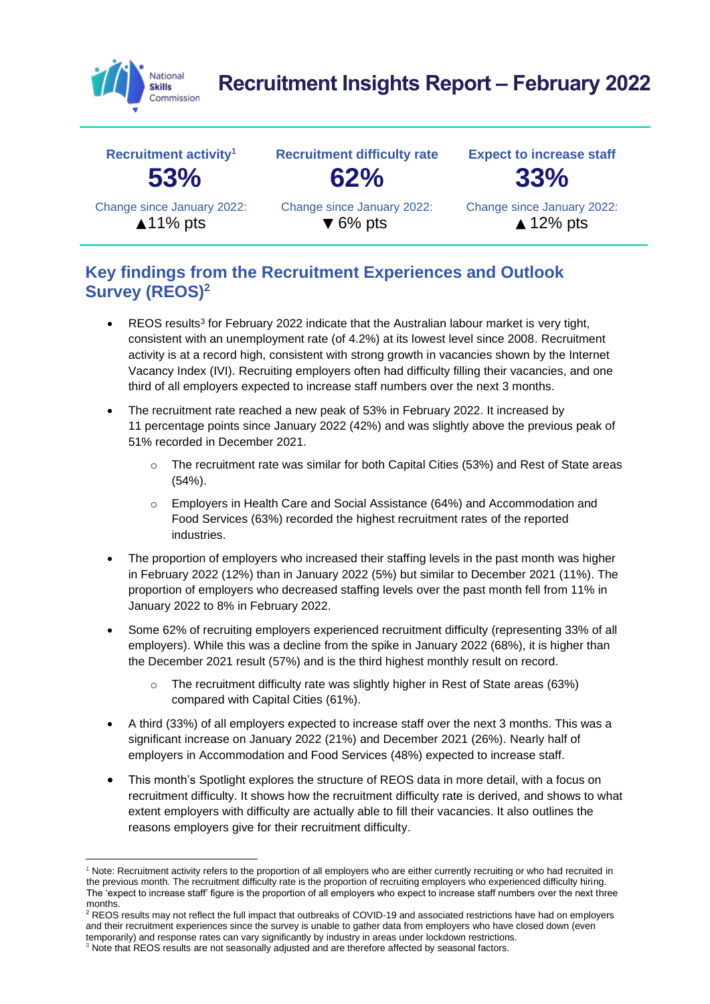

# **Recruitment Insights Report – February 2022**



#### **Key findings from the Recruitment Experiences and Outlook Survey (REOS)<sup>2</sup>**

- REOS results<sup>3</sup> for February 2022 indicate that the Australian labour market is very tight, consistent with an unemployment rate (of 4.2%) at its lowest level since 2008. Recruitment activity is at a record high, consistent with strong growth in vacancies shown by the Internet Vacancy Index (IVI). Recruiting employers often had difficulty filling their vacancies, and one third of all employers expected to increase staff numbers over the next 3 months.
- The recruitment rate reached a new peak of 53% in February 2022. It increased by 11 percentage points since January 2022 (42%) and was slightly above the previous peak of 51% recorded in December 2021.
	- o The recruitment rate was similar for both Capital Cities (53%) and Rest of State areas (54%).
	- o Employers in Health Care and Social Assistance (64%) and Accommodation and Food Services (63%) recorded the highest recruitment rates of the reported industries.
- The proportion of employers who increased their staffing levels in the past month was higher in February 2022 (12%) than in January 2022 (5%) but similar to December 2021 (11%). The proportion of employers who decreased staffing levels over the past month fell from 11% in January 2022 to 8% in February 2022.
- Some 62% of recruiting employers experienced recruitment difficulty (representing 33% of all employers). While this was a decline from the spike in January 2022 (68%), it is higher than the December 2021 result (57%) and is the third highest monthly result on record.
	- o The recruitment difficulty rate was slightly higher in Rest of State areas (63%) compared with Capital Cities (61%).
- A third (33%) of all employers expected to increase staff over the next 3 months. This was a significant increase on January 2022 (21%) and December 2021 (26%). Nearly half of employers in Accommodation and Food Services (48%) expected to increase staff.
- This month's Spotlight explores the structure of REOS data in more detail, with a focus on recruitment difficulty. It shows how the recruitment difficulty rate is derived, and shows to what extent employers with difficulty are actually able to fill their vacancies. It also outlines the reasons employers give for their recruitment difficulty.

<sup>&</sup>lt;sup>1</sup> Note: Recruitment activity refers to the proportion of all employers who are either currently recruiting or who had recruited in the previous month. The recruitment difficulty rate is the proportion of recruiting employers who experienced difficulty hiring. The 'expect to increase staff' figure is the proportion of all employers who expect to increase staff numbers over the next three months.

<sup>2</sup> REOS results may not reflect the full impact that outbreaks of COVID-19 and associated restrictions have had on employers and their recruitment experiences since the survey is unable to gather data from employers who have closed down (even temporarily) and response rates can vary significantly by industry in areas under lockdown restrictions.

<sup>&</sup>lt;sup>3</sup> Note that REOS results are not seasonally adjusted and are therefore affected by seasonal factors.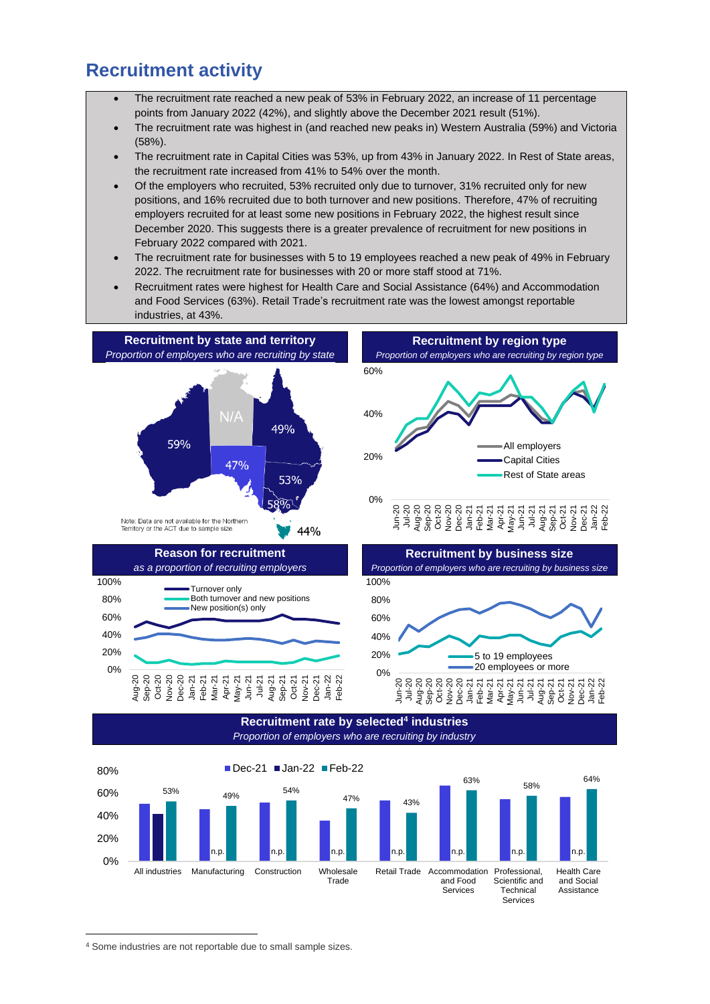### **Recruitment activity**

- The recruitment rate reached a new peak of 53% in February 2022, an increase of 11 percentage points from January 2022 (42%), and slightly above the December 2021 result (51%).
- The recruitment rate was highest in (and reached new peaks in) Western Australia (59%) and Victoria (58%).
- The recruitment rate in Capital Cities was 53%, up from 43% in January 2022. In Rest of State areas, the recruitment rate increased from 41% to 54% over the month.
- Of the employers who recruited, 53% recruited only due to turnover, 31% recruited only for new positions, and 16% recruited due to both turnover and new positions. Therefore, 47% of recruiting employers recruited for at least some new positions in February 2022, the highest result since December 2020. This suggests there is a greater prevalence of recruitment for new positions in February 2022 compared with 2021.
- The recruitment rate for businesses with 5 to 19 employees reached a new peak of 49% in February 2022. The recruitment rate for businesses with 20 or more staff stood at 71%.
- Recruitment rates were highest for Health Care and Social Assistance (64%) and Accommodation and Food Services (63%). Retail Trade's recruitment rate was the lowest amongst reportable industries, at 43%.





Services

<sup>4</sup> Some industries are not reportable due to small sample sizes.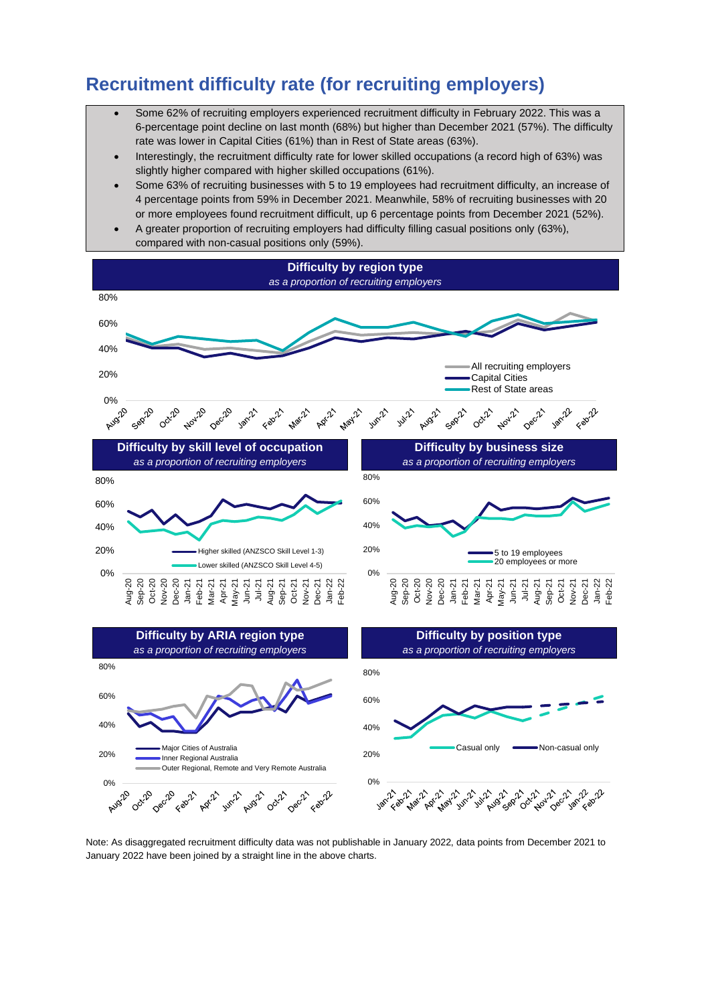### **Recruitment difficulty rate (for recruiting employers)**

- Some 62% of recruiting employers experienced recruitment difficulty in February 2022. This was a 6-percentage point decline on last month (68%) but higher than December 2021 (57%). The difficulty rate was lower in Capital Cities (61%) than in Rest of State areas (63%).
- Interestingly, the recruitment difficulty rate for lower skilled occupations (a record high of 63%) was slightly higher compared with higher skilled occupations (61%).
- Some 63% of recruiting businesses with 5 to 19 employees had recruitment difficulty, an increase of 4 percentage points from 59% in December 2021. Meanwhile, 58% of recruiting businesses with 20 or more employees found recruitment difficult, up 6 percentage points from December 2021 (52%).
- A greater proportion of recruiting employers had difficulty filling casual positions only (63%), compared with non-casual positions only (59%).







Note: As disaggregated recruitment difficulty data was not publishable in January 2022, data points from December 2021 to January 2022 have been joined by a straight line in the above charts.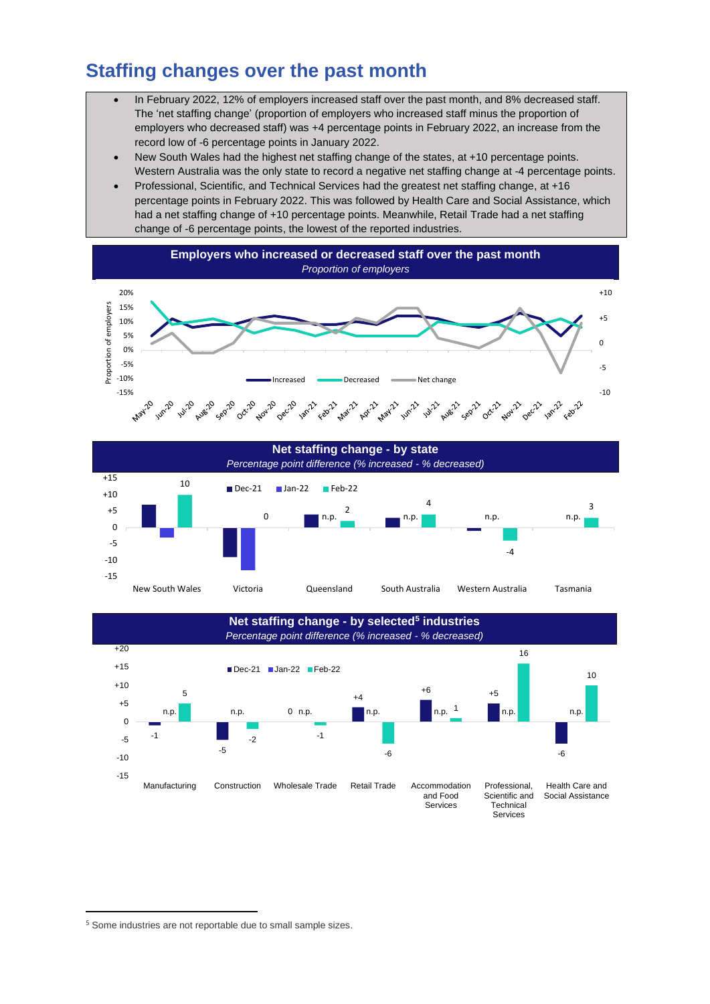## **Staffing changes over the past month**

- In February 2022, 12% of employers increased staff over the past month, and 8% decreased staff. The 'net staffing change' (proportion of employers who increased staff minus the proportion of employers who decreased staff) was +4 percentage points in February 2022, an increase from the record low of -6 percentage points in January 2022.
- New South Wales had the highest net staffing change of the states, at +10 percentage points. Western Australia was the only state to record a negative net staffing change at -4 percentage points.
- Professional, Scientific, and Technical Services had the greatest net staffing change, at +16 percentage points in February 2022. This was followed by Health Care and Social Assistance, which had a net staffing change of +10 percentage points. Meanwhile, Retail Trade had a net staffing change of -6 percentage points, the lowest of the reported industries.







<sup>&</sup>lt;sup>5</sup> Some industries are not reportable due to small sample sizes.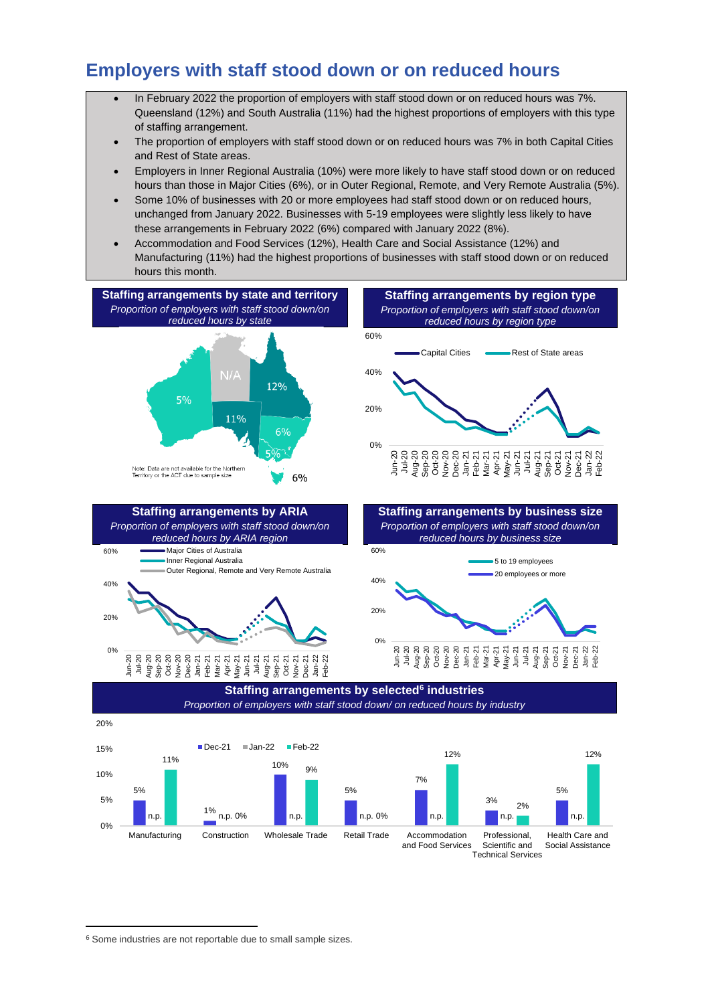### **Employers with staff stood down or on reduced hours**

- In February 2022 the proportion of employers with staff stood down or on reduced hours was 7%. Queensland (12%) and South Australia (11%) had the highest proportions of employers with this type of staffing arrangement.
- The proportion of employers with staff stood down or on reduced hours was 7% in both Capital Cities and Rest of State areas.
- Employers in Inner Regional Australia (10%) were more likely to have staff stood down or on reduced hours than those in Major Cities (6%), or in Outer Regional, Remote, and Very Remote Australia (5%).
- Some 10% of businesses with 20 or more employees had staff stood down or on reduced hours, unchanged from January 2022. Businesses with 5-19 employees were slightly less likely to have these arrangements in February 2022 (6%) compared with January 2022 (8%).
- Accommodation and Food Services (12%), Health Care and Social Assistance (12%) and Manufacturing (11%) had the highest proportions of businesses with staff stood down or on reduced hours this month.





<sup>6</sup> Some industries are not reportable due to small sample sizes.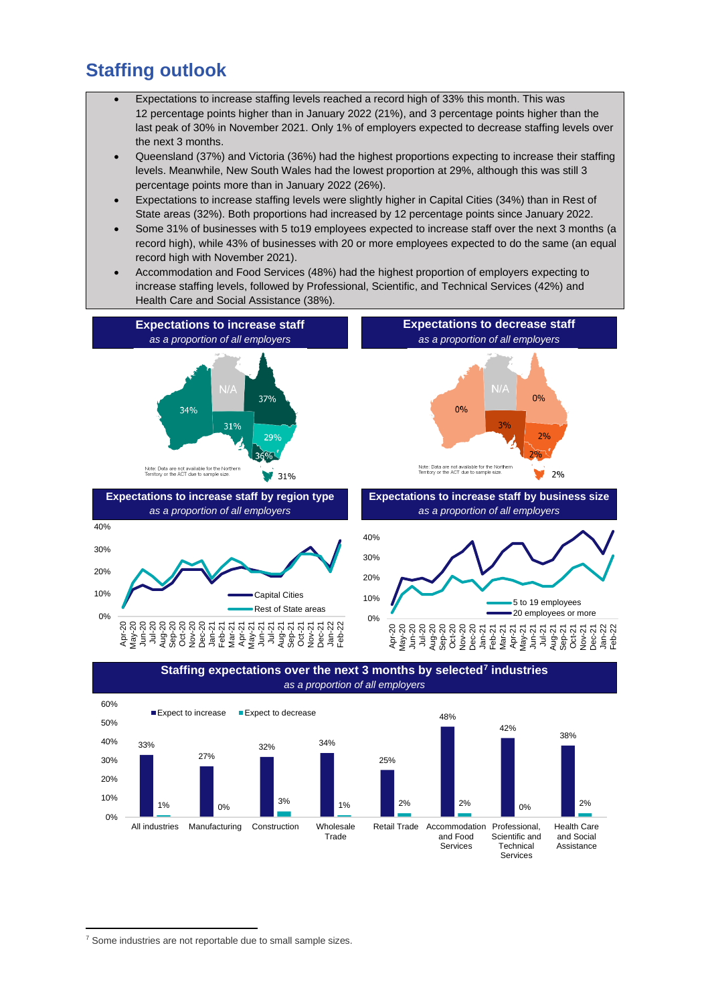### **Staffing outlook**

- Expectations to increase staffing levels reached a record high of 33% this month. This was 12 percentage points higher than in January 2022 (21%), and 3 percentage points higher than the last peak of 30% in November 2021. Only 1% of employers expected to decrease staffing levels over the next 3 months.
- Queensland (37%) and Victoria (36%) had the highest proportions expecting to increase their staffing levels. Meanwhile, New South Wales had the lowest proportion at 29%, although this was still 3 percentage points more than in January 2022 (26%).
- Expectations to increase staffing levels were slightly higher in Capital Cities (34%) than in Rest of State areas (32%). Both proportions had increased by 12 percentage points since January 2022.
- Some 31% of businesses with 5 to19 employees expected to increase staff over the next 3 months (a record high), while 43% of businesses with 20 or more employees expected to do the same (an equal record high with November 2021).
- Accommodation and Food Services (48%) had the highest proportion of employers expecting to increase staffing levels, followed by Professional, Scientific, and Technical Services (42%) and Health Care and Social Assistance (38%).







<sup>&</sup>lt;sup>7</sup> Some industries are not reportable due to small sample sizes.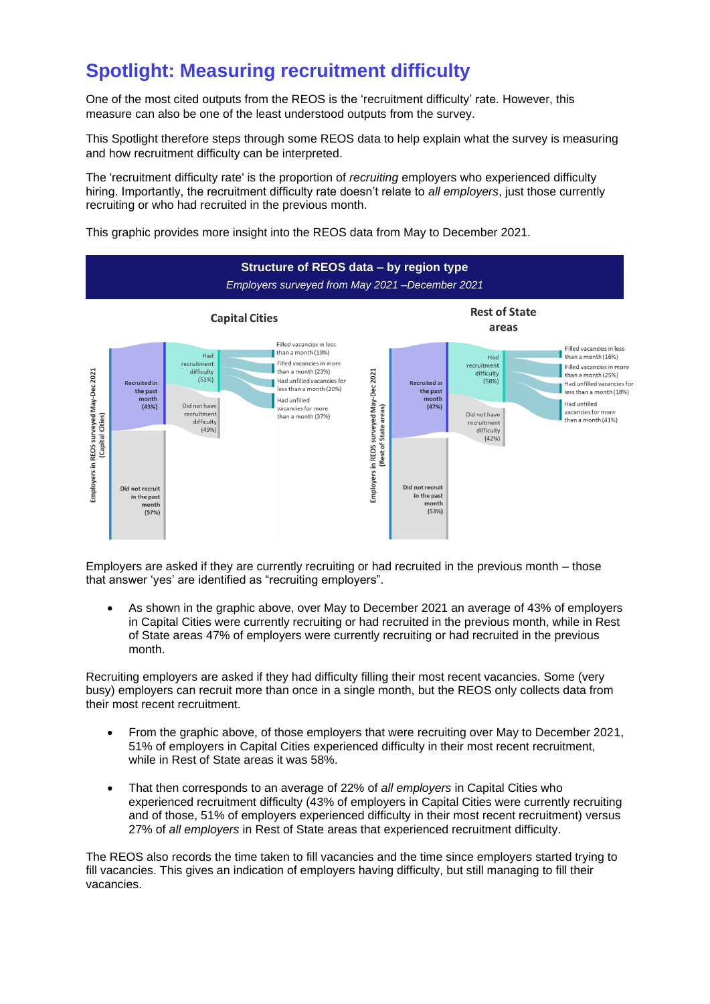### **Spotlight: Measuring recruitment difficulty**

One of the most cited outputs from the REOS is the 'recruitment difficulty' rate. However, this measure can also be one of the least understood outputs from the survey.

This Spotlight therefore steps through some REOS data to help explain what the survey is measuring and how recruitment difficulty can be interpreted.

The 'recruitment difficulty rate' is the proportion of *recruiting* employers who experienced difficulty hiring. Importantly, the recruitment difficulty rate doesn't relate to *all employers*, just those currently recruiting or who had recruited in the previous month.

This graphic provides more insight into the REOS data from May to December 2021.



Employers are asked if they are currently recruiting or had recruited in the previous month – those that answer 'yes' are identified as "recruiting employers".

• As shown in the graphic above, over May to December 2021 an average of 43% of employers in Capital Cities were currently recruiting or had recruited in the previous month, while in Rest of State areas 47% of employers were currently recruiting or had recruited in the previous month.

Recruiting employers are asked if they had difficulty filling their most recent vacancies. Some (very busy) employers can recruit more than once in a single month, but the REOS only collects data from their most recent recruitment.

- From the graphic above, of those employers that were recruiting over May to December 2021, 51% of employers in Capital Cities experienced difficulty in their most recent recruitment, while in Rest of State areas it was 58%.
- That then corresponds to an average of 22% of *all employers* in Capital Cities who experienced recruitment difficulty (43% of employers in Capital Cities were currently recruiting and of those, 51% of employers experienced difficulty in their most recent recruitment) versus 27% of *all employers* in Rest of State areas that experienced recruitment difficulty.

The REOS also records the time taken to fill vacancies and the time since employers started trying to fill vacancies. This gives an indication of employers having difficulty, but still managing to fill their vacancies.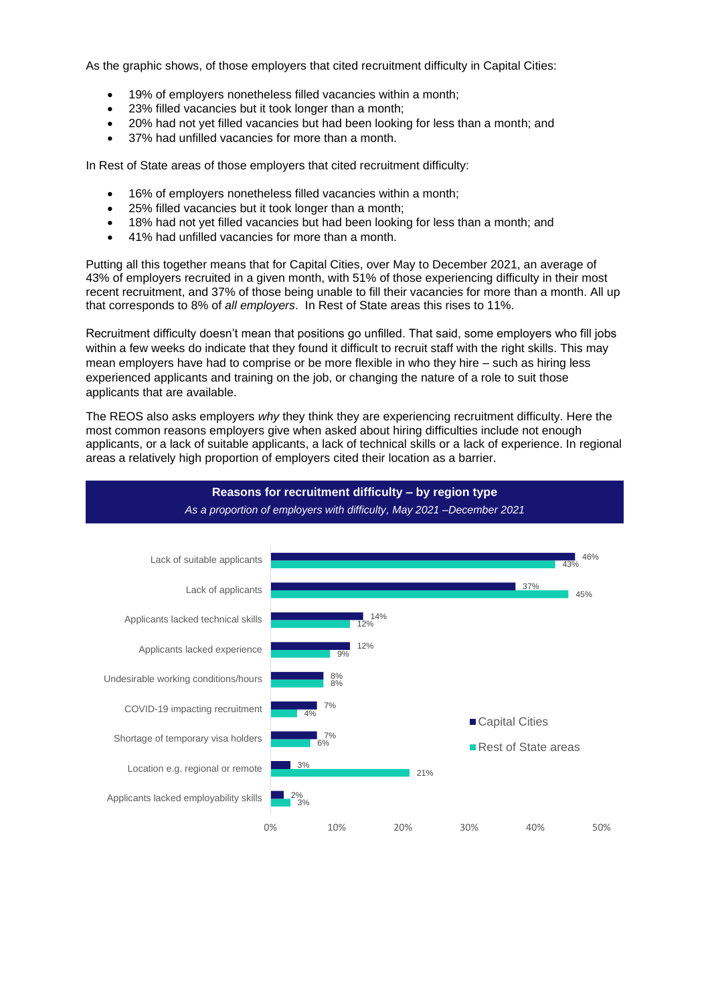As the graphic shows, of those employers that cited recruitment difficulty in Capital Cities:

- 19% of employers nonetheless filled vacancies within a month;
- 23% filled vacancies but it took longer than a month;
- 20% had not yet filled vacancies but had been looking for less than a month; and
- 37% had unfilled vacancies for more than a month.

In Rest of State areas of those employers that cited recruitment difficulty:

- 16% of employers nonetheless filled vacancies within a month;
- 25% filled vacancies but it took longer than a month;
- 18% had not yet filled vacancies but had been looking for less than a month; and
- 41% had unfilled vacancies for more than a month.

Putting all this together means that for Capital Cities, over May to December 2021, an average of 43% of employers recruited in a given month, with 51% of those experiencing difficulty in their most recent recruitment, and 37% of those being unable to fill their vacancies for more than a month. All up that corresponds to 8% of *all employers*. In Rest of State areas this rises to 11%.

Recruitment difficulty doesn't mean that positions go unfilled. That said, some employers who fill jobs within a few weeks do indicate that they found it difficult to recruit staff with the right skills. This may mean employers have had to comprise or be more flexible in who they hire – such as hiring less experienced applicants and training on the job, or changing the nature of a role to suit those applicants that are available.

The REOS also asks employers *why* they think they are experiencing recruitment difficulty. Here the most common reasons employers give when asked about hiring difficulties include not enough applicants, or a lack of suitable applicants, a lack of technical skills or a lack of experience. In regional areas a relatively high proportion of employers cited their location as a barrier.